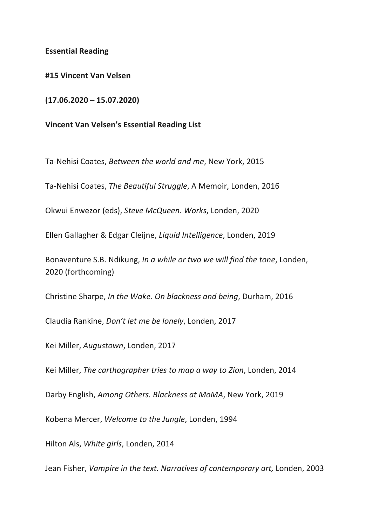## **Essential Reading**

**#15 Vincent Van Velsen**

**(17.06.2020 – 15.07.2020)**

**Vincent Van Velsen's Essential Reading List**

Ta-Nehisi Coates, *Between the world and me*, New York, 2015

Ta-Nehisi Coates, *The Beautiful Struggle*, A Memoir, Londen, 2016

Okwui Enwezor (eds), *Steve McQueen. Works*, Londen, 2020

Ellen Gallagher & Edgar Cleijne, *Liquid Intelligence*, Londen, 2019

Bonaventure S.B. Ndikung, *In a while or two we will find the tone*, Londen, 2020 (forthcoming)

Christine Sharpe, *In the Wake. On blackness and being*, Durham, 2016

Claudia Rankine, *Don't let me be lonely*, Londen, 2017

Kei Miller, *Augustown*, Londen, 2017

Kei Miller, *The carthographer tries to map a way to Zion*, Londen, 2014

Darby English, *Among Others. Blackness at MoMA*, New York, 2019

Kobena Mercer, *Welcome to the Jungle*, Londen, 1994

Hilton Als, *White girls*, Londen, 2014

Jean Fisher, *Vampire in the text. Narratives of contemporary art,* Londen, 2003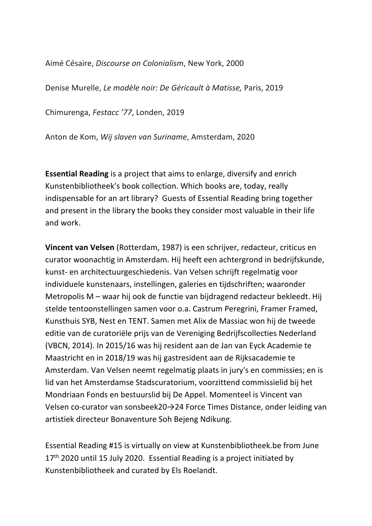Aimé Césaire, *Discourse on Colonialism*, New York, 2000

Denise Murelle, *Le modèle noir: De Géricault à Matisse,* Paris, 2019

Chimurenga, *Festacc '77*, Londen, 2019

Anton de Kom, *Wij slaven van Suriname*, Amsterdam, 2020

**Essential Reading** is a project that aims to enlarge, diversify and enrich Kunstenbibliotheek's book collection. Which books are, today, really indispensable for an art library? Guests of Essential Reading bring together and present in the library the books they consider most valuable in their life and work.

**Vincent van Velsen** (Rotterdam, 1987) is een schrijver, redacteur, criticus en curator woonachtig in Amsterdam. Hij heeft een achtergrond in bedrijfskunde, kunst- en architectuurgeschiedenis. Van Velsen schrijft regelmatig voor individuele kunstenaars, instellingen, galeries en tijdschriften; waaronder Metropolis M – waar hij ook de functie van bijdragend redacteur bekleedt. Hij stelde tentoonstellingen samen voor o.a. Castrum Peregrini, Framer Framed, Kunsthuis SYB, Nest en TENT. Samen met Alix de Massiac won hij de tweede editie van de curatoriële prijs van de Vereniging Bedrijfscollecties Nederland (VBCN, 2014). In 2015/16 was hij resident aan de Jan van Eyck Academie te Maastricht en in 2018/19 was hij gastresident aan de Rijksacademie te Amsterdam. Van Velsen neemt regelmatig plaats in jury's en commissies; en is lid van het Amsterdamse Stadscuratorium, voorzittend commissielid bij het Mondriaan Fonds en bestuurslid bij De Appel. Momenteel is Vincent van Velsen co-curator van sonsbeek20→24 Force Times Distance, onder leiding van artistiek directeur Bonaventure Soh Bejeng Ndikung.

Essential Reading #15 is virtually on view at Kunstenbibliotheek.be from June 17<sup>th</sup> 2020 until 15 July 2020. Essential Reading is a project initiated by Kunstenbibliotheek and curated by Els Roelandt.